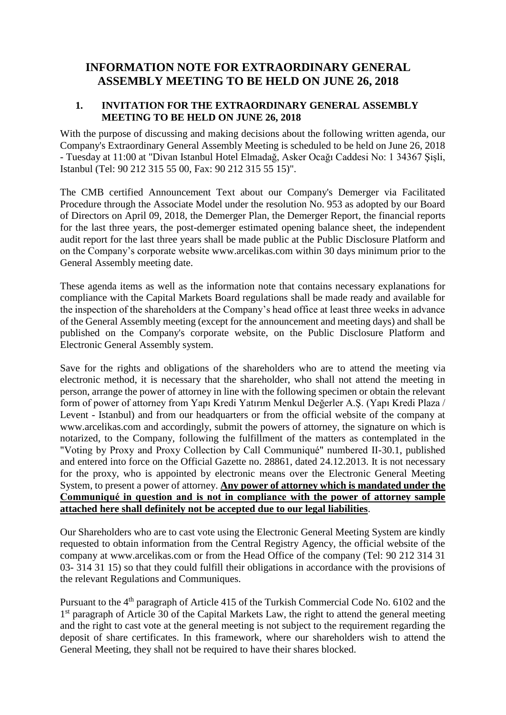# **INFORMATION NOTE FOR EXTRAORDINARY GENERAL ASSEMBLY MEETING TO BE HELD ON JUNE 26, 2018**

### **1. INVITATION FOR THE EXTRAORDINARY GENERAL ASSEMBLY MEETING TO BE HELD ON JUNE 26, 2018**

With the purpose of discussing and making decisions about the following written agenda, our Company's Extraordinary General Assembly Meeting is scheduled to be held on June 26, 2018 - Tuesday at 11:00 at "Divan Istanbul Hotel Elmadağ, Asker Ocağı Caddesi No: 1 34367 Şişli, Istanbul (Tel: 90 212 315 55 00, Fax: 90 212 315 55 15)".

The CMB certified Announcement Text about our Company's Demerger via Facilitated Procedure through the Associate Model under the resolution No. 953 as adopted by our Board of Directors on April 09, 2018, the Demerger Plan, the Demerger Report, the financial reports for the last three years, the post-demerger estimated opening balance sheet, the independent audit report for the last three years shall be made public at the Public Disclosure Platform and on the Company's corporate website [www.arcelikas.com](http://www.arcelikas.com/) within 30 days minimum prior to the General Assembly meeting date.

These agenda items as well as the information note that contains necessary explanations for compliance with the Capital Markets Board regulations shall be made ready and available for the inspection of the shareholders at the Company's head office at least three weeks in advance of the General Assembly meeting (except for the announcement and meeting days) and shall be published on the Company's corporate website, on the Public Disclosure Platform and Electronic General Assembly system.

Save for the rights and obligations of the shareholders who are to attend the meeting via electronic method, it is necessary that the shareholder, who shall not attend the meeting in person, arrange the power of attorney in line with the following specimen or obtain the relevant form of power of attorney from Yapı Kredi Yatırım Menkul Değerler A.Ş. (Yapı Kredi Plaza / Levent - Istanbul) and from our headquarters or from the official website of the company at [www.arcelikas.com](http://www.arcelikas.com/) and accordingly, submit the powers of attorney, the signature on which is notarized, to the Company, following the fulfillment of the matters as contemplated in the "Voting by Proxy and Proxy Collection by Call Communiqué" numbered II-30.1, published and entered into force on the Official Gazette no. 28861, dated 24.12.2013. It is not necessary for the proxy, who is appointed by electronic means over the Electronic General Meeting System, to present a power of attorney. **Any power of attorney which is mandated under the Communiqué in question and is not in compliance with the power of attorney sample attached here shall definitely not be accepted due to our legal liabilities**.

Our Shareholders who are to cast vote using the Electronic General Meeting System are kindly requested to obtain information from the Central Registry Agency, the official website of the company at [www.arcelikas.com](http://www.arcelikas.com/) or from the Head Office of the company (Tel: 90 212 314 31 03- 314 31 15) so that they could fulfill their obligations in accordance with the provisions of the relevant Regulations and Communiques.

Pursuant to the 4th paragraph of Article 415 of the Turkish Commercial Code No. 6102 and the 1<sup>st</sup> paragraph of Article 30 of the Capital Markets Law, the right to attend the general meeting and the right to cast vote at the general meeting is not subject to the requirement regarding the deposit of share certificates. In this framework, where our shareholders wish to attend the General Meeting, they shall not be required to have their shares blocked.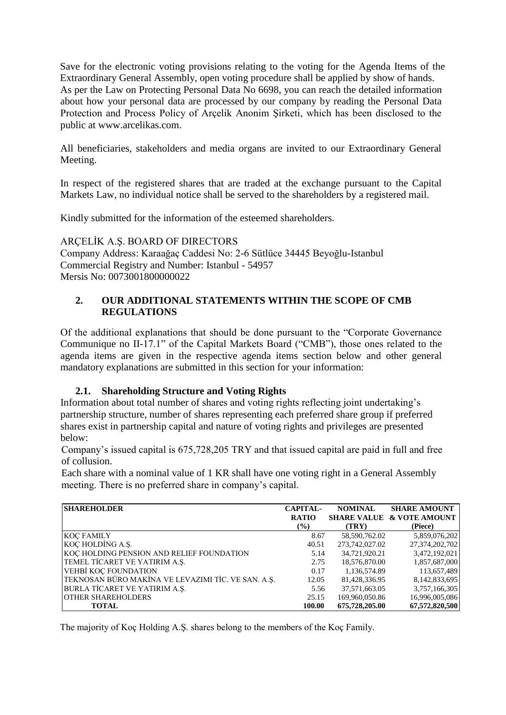Save for the electronic voting provisions relating to the voting for the Agenda Items of the Extraordinary General Assembly, open voting procedure shall be applied by show of hands. As per the Law on Protecting Personal Data No 6698, you can reach the detailed information about how your personal data are processed by our company by reading the Personal Data Protection and Process Policy of Arçelik Anonim Şirketi, which has been disclosed to the public at [www.arcelikas.com.](http://www.arcelikas.com/)

All beneficiaries, stakeholders and media organs are invited to our Extraordinary General Meeting.

In respect of the registered shares that are traded at the exchange pursuant to the Capital Markets Law, no individual notice shall be served to the shareholders by a registered mail.

Kindly submitted for the information of the esteemed shareholders.

ARÇELİK A.Ş. BOARD OF DIRECTORS Company Address: Karaağaç Caddesi No: 2-6 Sütlüce 34445 Beyoğlu-Istanbul Commercial Registry and Number: Istanbul - 54957 Mersis No: 0073001800000022

### **2. OUR ADDITIONAL STATEMENTS WITHIN THE SCOPE OF CMB REGULATIONS**

Of the additional explanations that should be done pursuant to the "Corporate Governance Communique no II-17.1" of the Capital Markets Board ("CMB"), those ones related to the agenda items are given in the respective agenda items section below and other general mandatory explanations are submitted in this section for your information:

### **2.1. Shareholding Structure and Voting Rights**

Information about total number of shares and voting rights reflecting joint undertaking's partnership structure, number of shares representing each preferred share group if preferred shares exist in partnership capital and nature of voting rights and privileges are presented below:

Company's issued capital is 675,728,205 TRY and that issued capital are paid in full and free of collusion.

Each share with a nominal value of 1 KR shall have one voting right in a General Assembly meeting. There is no preferred share in company's capital.

| <b>SHAREHOLDER</b>                                 | <b>CAPITAL-</b> | <b>NOMINAL</b>     | <b>SHARE AMOUNT</b>      |
|----------------------------------------------------|-----------------|--------------------|--------------------------|
|                                                    | <b>RATIO</b>    | <b>SHARE VALUE</b> | <b>&amp; VOTE AMOUNT</b> |
|                                                    | $($ %)          | (TRY)              | (Piece)                  |
| <b>KOC FAMILY</b>                                  | 8.67            | 58,590,762.02      | 5,859,076,202            |
| KOÇ HOLDİNG A.Ş.                                   | 40.51           | 273,742,027.02     | 27,374,202,702           |
| KOÇ HOLDING PENSION AND RELIEF FOUNDATION          | 5.14            | 34,721,920.21      | 3,472,192,021            |
| TEMEL TİCARET VE YATIRIM A.Ş.                      | 2.75            | 18,576,870.00      | 1,857,687,000            |
| VEHBİ KOÇ FOUNDATION                               | 0.17            | 1,136,574.89       | 113,657,489              |
| TEKNOSAN BÜRO MAKİNA VE LEVAZIMI TİC. VE SAN. A.Ş. | 12.05           | 81,428,336.95      | 8,142,833,695            |
| BURLA TICARET VE YATIRIM A.Ş.                      | 5.56            | 37,571,663.05      | 3,757,166,305            |
| <b>OTHER SHAREHOLDERS</b>                          | 25.15           | 169,960,050.86     | 16,996,005,086           |
| <b>TOTAL</b>                                       | 100.00          | 675,728,205.00     | 67,572,820,500           |

The majority of Koç Holding A.Ş. shares belong to the members of the Koç Family.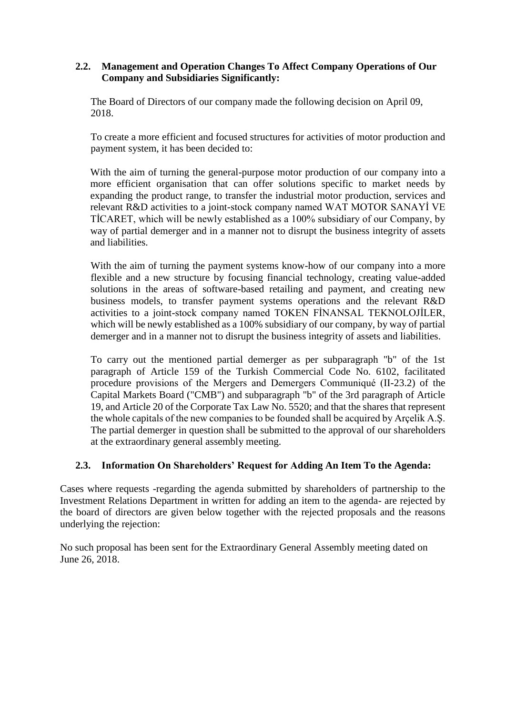### **2.2. Management and Operation Changes To Affect Company Operations of Our Company and Subsidiaries Significantly:**

The Board of Directors of our company made the following decision on April 09, 2018.

To create a more efficient and focused structures for activities of motor production and payment system, it has been decided to:

With the aim of turning the general-purpose motor production of our company into a more efficient organisation that can offer solutions specific to market needs by expanding the product range, to transfer the industrial motor production, services and relevant R&D activities to a joint-stock company named WAT MOTOR SANAYİ VE TİCARET, which will be newly established as a 100% subsidiary of our Company, by way of partial demerger and in a manner not to disrupt the business integrity of assets and liabilities.

With the aim of turning the payment systems know-how of our company into a more flexible and a new structure by focusing financial technology, creating value-added solutions in the areas of software-based retailing and payment, and creating new business models, to transfer payment systems operations and the relevant R&D activities to a joint-stock company named TOKEN FİNANSAL TEKNOLOJİLER, which will be newly established as a 100% subsidiary of our company, by way of partial demerger and in a manner not to disrupt the business integrity of assets and liabilities.

To carry out the mentioned partial demerger as per subparagraph "b" of the 1st paragraph of Article 159 of the Turkish Commercial Code No. 6102, facilitated procedure provisions of the Mergers and Demergers Communiqué (II-23.2) of the Capital Markets Board ("CMB") and subparagraph "b" of the 3rd paragraph of Article 19, and Article 20 of the Corporate Tax Law No. 5520; and that the shares that represent the whole capitals of the new companies to be founded shall be acquired by Arçelik A.Ş. The partial demerger in question shall be submitted to the approval of our shareholders at the extraordinary general assembly meeting.

### **2.3. Information On Shareholders' Request for Adding An Item To the Agenda:**

Cases where requests -regarding the agenda submitted by shareholders of partnership to the Investment Relations Department in written for adding an item to the agenda- are rejected by the board of directors are given below together with the rejected proposals and the reasons underlying the rejection:

No such proposal has been sent for the Extraordinary General Assembly meeting dated on June 26, 2018.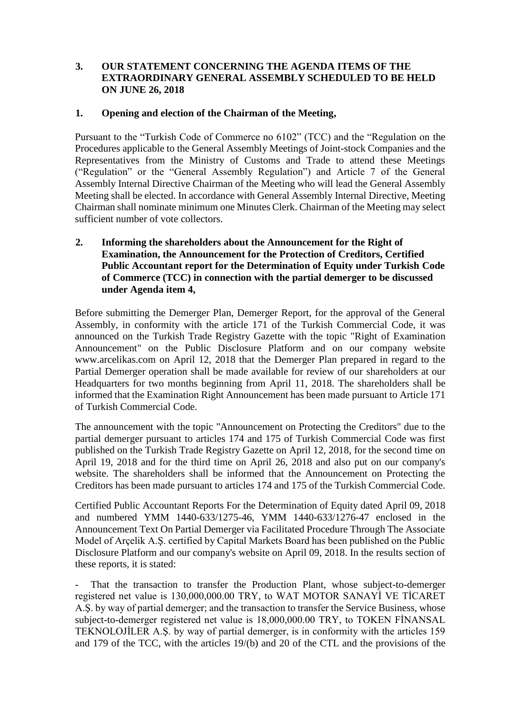### **3. OUR STATEMENT CONCERNING THE AGENDA ITEMS OF THE EXTRAORDINARY GENERAL ASSEMBLY SCHEDULED TO BE HELD ON JUNE 26, 2018**

### **1. Opening and election of the Chairman of the Meeting,**

Pursuant to the "Turkish Code of Commerce no 6102" (TCC) and the "Regulation on the Procedures applicable to the General Assembly Meetings of Joint-stock Companies and the Representatives from the Ministry of Customs and Trade to attend these Meetings ("Regulation" or the "General Assembly Regulation") and Article 7 of the General Assembly Internal Directive Chairman of the Meeting who will lead the General Assembly Meeting shall be elected. In accordance with General Assembly Internal Directive, Meeting Chairman shall nominate minimum one Minutes Clerk. Chairman of the Meeting may select sufficient number of vote collectors.

**2. Informing the shareholders about the Announcement for the Right of Examination, the Announcement for the Protection of Creditors, Certified Public Accountant report for the Determination of Equity under Turkish Code of Commerce (TCC) in connection with the partial demerger to be discussed under Agenda item 4,**

Before submitting the Demerger Plan, Demerger Report, for the approval of the General Assembly, in conformity with the article 171 of the Turkish Commercial Code, it was announced on the Turkish Trade Registry Gazette with the topic "Right of Examination Announcement" on the Public Disclosure Platform and on our company website [www.arcelikas.com](http://www.arcelikas.com/) on April 12, 2018 that the Demerger Plan prepared in regard to the Partial Demerger operation shall be made available for review of our shareholders at our Headquarters for two months beginning from April 11, 2018. The shareholders shall be informed that the Examination Right Announcement has been made pursuant to Article 171 of Turkish Commercial Code.

The announcement with the topic "Announcement on Protecting the Creditors" due to the partial demerger pursuant to articles 174 and 175 of Turkish Commercial Code was first published on the Turkish Trade Registry Gazette on April 12, 2018, for the second time on April 19, 2018 and for the third time on April 26, 2018 and also put on our company's website. The shareholders shall be informed that the Announcement on Protecting the Creditors has been made pursuant to articles 174 and 175 of the Turkish Commercial Code.

Certified Public Accountant Reports For the Determination of Equity dated April 09, 2018 and numbered YMM 1440-633/1275-46, YMM 1440-633/1276-47 enclosed in the Announcement Text On Partial Demerger via Facilitated Procedure Through The Associate Model of Arçelik A.Ş. certified by Capital Markets Board has been published on the Public Disclosure Platform and our company's website on April 09, 2018. In the results section of these reports, it is stated:

That the transaction to transfer the Production Plant, whose subject-to-demerger registered net value is 130,000,000.00 TRY, to WAT MOTOR SANAYİ VE TİCARET A.Ş. by way of partial demerger; and the transaction to transfer the Service Business, whose subject-to-demerger registered net value is 18,000,000.00 TRY, to TOKEN FİNANSAL TEKNOLOJİLER A.Ş. by way of partial demerger, is in conformity with the articles 159 and 179 of the TCC, with the articles 19/(b) and 20 of the CTL and the provisions of the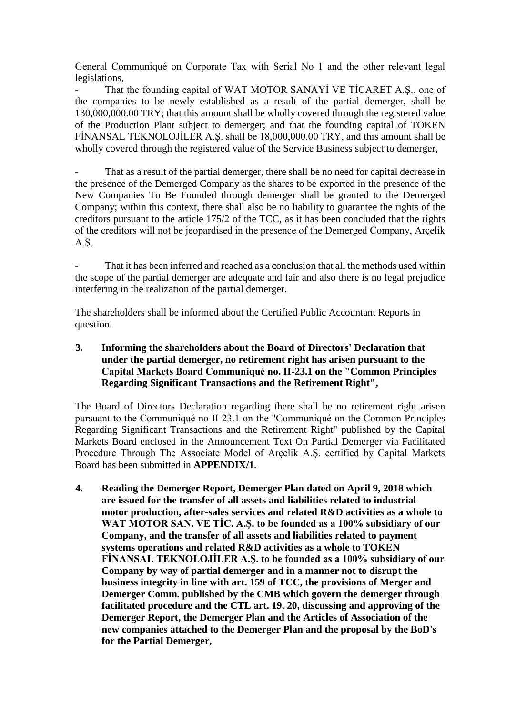General Communiqué on Corporate Tax with Serial No 1 and the other relevant legal legislations,

That the founding capital of WAT MOTOR SANAYİ VE TİCARET A.S., one of the companies to be newly established as a result of the partial demerger, shall be 130,000,000.00 TRY; that this amount shall be wholly covered through the registered value of the Production Plant subject to demerger; and that the founding capital of TOKEN FİNANSAL TEKNOLOJİLER A.Ş. shall be 18,000,000.00 TRY, and this amount shall be wholly covered through the registered value of the Service Business subject to demerger,

That as a result of the partial demerger, there shall be no need for capital decrease in the presence of the Demerged Company as the shares to be exported in the presence of the New Companies To Be Founded through demerger shall be granted to the Demerged Company; within this context, there shall also be no liability to guarantee the rights of the creditors pursuant to the article 175/2 of the TCC, as it has been concluded that the rights of the creditors will not be jeopardised in the presence of the Demerged Company, Arçelik A.Ş,

That it has been inferred and reached as a conclusion that all the methods used within the scope of the partial demerger are adequate and fair and also there is no legal prejudice interfering in the realization of the partial demerger.

The shareholders shall be informed about the Certified Public Accountant Reports in question.

### **3. Informing the shareholders about the Board of Directors' Declaration that under the partial demerger, no retirement right has arisen pursuant to the Capital Markets Board Communiqué no. II-23.1 on the "Common Principles Regarding Significant Transactions and the Retirement Right",**

The Board of Directors Declaration regarding there shall be no retirement right arisen pursuant to the Communiqué no II-23.1 on the "Communiqué on the Common Principles Regarding Significant Transactions and the Retirement Right" published by the Capital Markets Board enclosed in the Announcement Text On Partial Demerger via Facilitated Procedure Through The Associate Model of Arçelik A.Ş. certified by Capital Markets Board has been submitted in **APPENDIX/1**.

**4. Reading the Demerger Report, Demerger Plan dated on April 9, 2018 which are issued for the transfer of all assets and liabilities related to industrial motor production, after-sales services and related R&D activities as a whole to WAT MOTOR SAN. VE TİC. A.Ş. to be founded as a 100% subsidiary of our Company, and the transfer of all assets and liabilities related to payment systems operations and related R&D activities as a whole to TOKEN FİNANSAL TEKNOLOJİLER A.Ş. to be founded as a 100% subsidiary of our Company by way of partial demerger and in a manner not to disrupt the business integrity in line with art. 159 of TCC, the provisions of Merger and Demerger Comm. published by the CMB which govern the demerger through facilitated procedure and the CTL art. 19, 20, discussing and approving of the Demerger Report, the Demerger Plan and the Articles of Association of the new companies attached to the Demerger Plan and the proposal by the BoD's for the Partial Demerger,**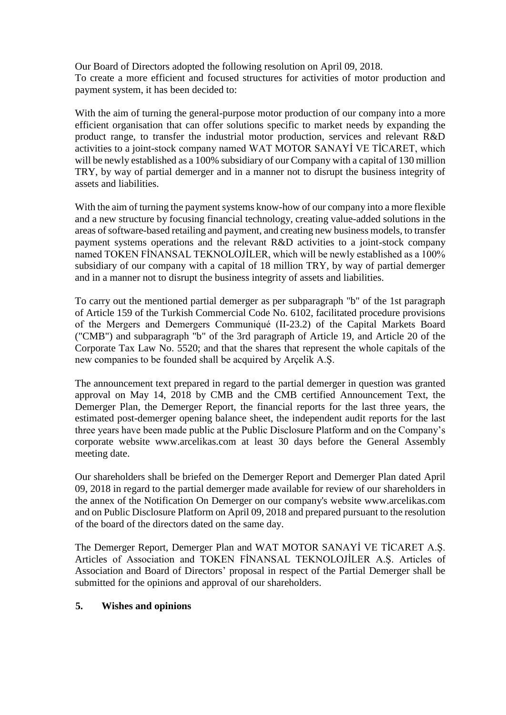Our Board of Directors adopted the following resolution on April 09, 2018. To create a more efficient and focused structures for activities of motor production and payment system, it has been decided to:

With the aim of turning the general-purpose motor production of our company into a more efficient organisation that can offer solutions specific to market needs by expanding the product range, to transfer the industrial motor production, services and relevant R&D activities to a joint-stock company named WAT MOTOR SANAYİ VE TİCARET, which will be newly established as a 100% subsidiary of our Company with a capital of 130 million TRY, by way of partial demerger and in a manner not to disrupt the business integrity of assets and liabilities.

With the aim of turning the payment systems know-how of our company into a more flexible and a new structure by focusing financial technology, creating value-added solutions in the areas of software-based retailing and payment, and creating new business models, to transfer payment systems operations and the relevant R&D activities to a joint-stock company named TOKEN FİNANSAL TEKNOLOJİLER, which will be newly established as a 100% subsidiary of our company with a capital of 18 million TRY, by way of partial demerger and in a manner not to disrupt the business integrity of assets and liabilities.

To carry out the mentioned partial demerger as per subparagraph "b" of the 1st paragraph of Article 159 of the Turkish Commercial Code No. 6102, facilitated procedure provisions of the Mergers and Demergers Communiqué (II-23.2) of the Capital Markets Board ("CMB") and subparagraph "b" of the 3rd paragraph of Article 19, and Article 20 of the Corporate Tax Law No. 5520; and that the shares that represent the whole capitals of the new companies to be founded shall be acquired by Arçelik A.Ş.

The announcement text prepared in regard to the partial demerger in question was granted approval on May 14, 2018 by CMB and the CMB certified Announcement Text, the Demerger Plan, the Demerger Report, the financial reports for the last three years, the estimated post-demerger opening balance sheet, the independent audit reports for the last three years have been made public at the Public Disclosure Platform and on the Company's corporate website [www.arcelikas.com](http://www.arcelikas.com/) at least 30 days before the General Assembly meeting date.

Our shareholders shall be briefed on the Demerger Report and Demerger Plan dated April 09, 2018 in regard to the partial demerger made available for review of our shareholders in the annex of the Notification On Demerger on our company's website [www.arcelikas.com](http://www.arcelikas.com/) and on Public Disclosure Platform on April 09, 2018 and prepared pursuant to the resolution of the board of the directors dated on the same day.

The Demerger Report, Demerger Plan and WAT MOTOR SANAYİ VE TİCARET A.Ş. Articles of Association and TOKEN FİNANSAL TEKNOLOJİLER A.Ş. Articles of Association and Board of Directors' proposal in respect of the Partial Demerger shall be submitted for the opinions and approval of our shareholders.

### **5. Wishes and opinions**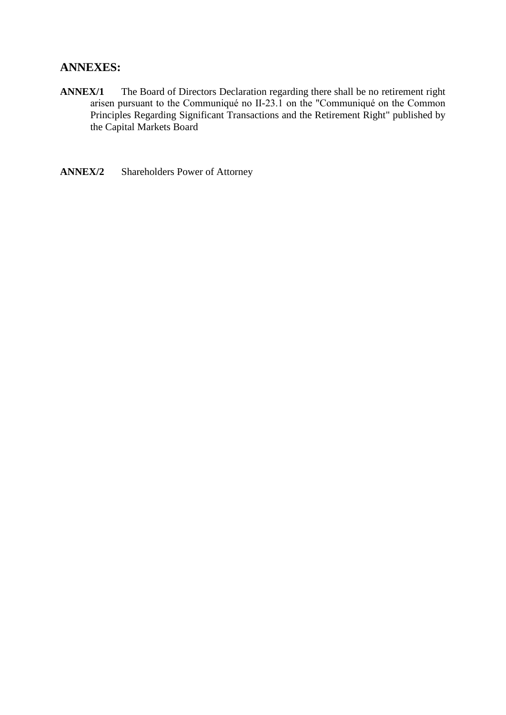### **ANNEXES:**

- **ANNEX/1** The Board of Directors Declaration regarding there shall be no retirement right arisen pursuant to the Communiqué no II-23.1 on the "Communiqué on the Common Principles Regarding Significant Transactions and the Retirement Right" published by the Capital Markets Board
- **ANNEX/2** Shareholders Power of Attorney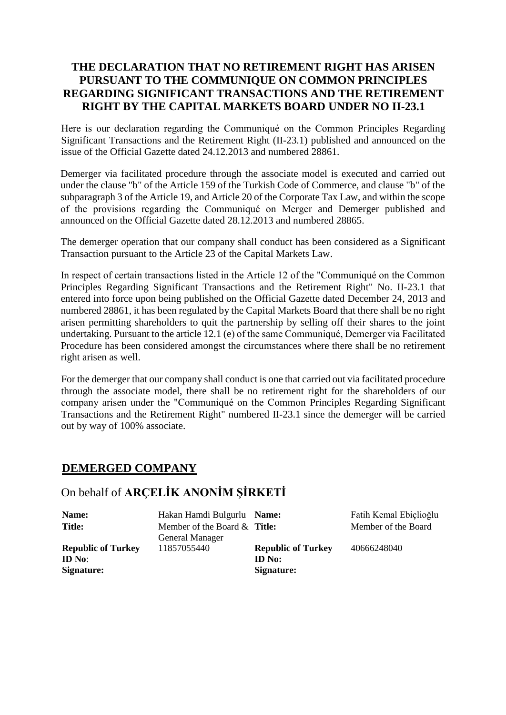### **THE DECLARATION THAT NO RETIREMENT RIGHT HAS ARISEN PURSUANT TO THE COMMUNIQUE ON COMMON PRINCIPLES REGARDING SIGNIFICANT TRANSACTIONS AND THE RETIREMENT RIGHT BY THE CAPITAL MARKETS BOARD UNDER NO II-23.1**

Here is our declaration regarding the Communiqué on the Common Principles Regarding Significant Transactions and the Retirement Right (II-23.1) published and announced on the issue of the Official Gazette dated 24.12.2013 and numbered 28861.

Demerger via facilitated procedure through the associate model is executed and carried out under the clause "b" of the Article 159 of the Turkish Code of Commerce, and clause "b" of the subparagraph 3 of the Article 19, and Article 20 of the Corporate Tax Law, and within the scope of the provisions regarding the Communiqué on Merger and Demerger published and announced on the Official Gazette dated 28.12.2013 and numbered 28865.

The demerger operation that our company shall conduct has been considered as a Significant Transaction pursuant to the Article 23 of the Capital Markets Law.

In respect of certain transactions listed in the Article 12 of the "Communiqué on the Common Principles Regarding Significant Transactions and the Retirement Right" No. II-23.1 that entered into force upon being published on the Official Gazette dated December 24, 2013 and numbered 28861, it has been regulated by the Capital Markets Board that there shall be no right arisen permitting shareholders to quit the partnership by selling off their shares to the joint undertaking. Pursuant to the article 12.1 (e) of the same Communiqué, Demerger via Facilitated Procedure has been considered amongst the circumstances where there shall be no retirement right arisen as well.

For the demerger that our company shall conduct is one that carried out via facilitated procedure through the associate model, there shall be no retirement right for the shareholders of our company arisen under the "Communiqué on the Common Principles Regarding Significant Transactions and the Retirement Right" numbered II-23.1 since the demerger will be carried out by way of 100% associate.

# **DEMERGED COMPANY**

# On behalf of **ARÇELİK ANONİM ŞİRKETİ**

| Name:                                             | Hakan Hamdi Bulgurlu Name:            |                                                          | Fatih Kemal Ebiçlioğlu |
|---------------------------------------------------|---------------------------------------|----------------------------------------------------------|------------------------|
| <b>Title:</b>                                     | Member of the Board & Title:          |                                                          | Member of the Board    |
| <b>Republic of Turkey</b><br>ID No:<br>Signature: | <b>General Manager</b><br>11857055440 | <b>Republic of Turkey</b><br><b>ID</b> No:<br>Signature: | 40666248040            |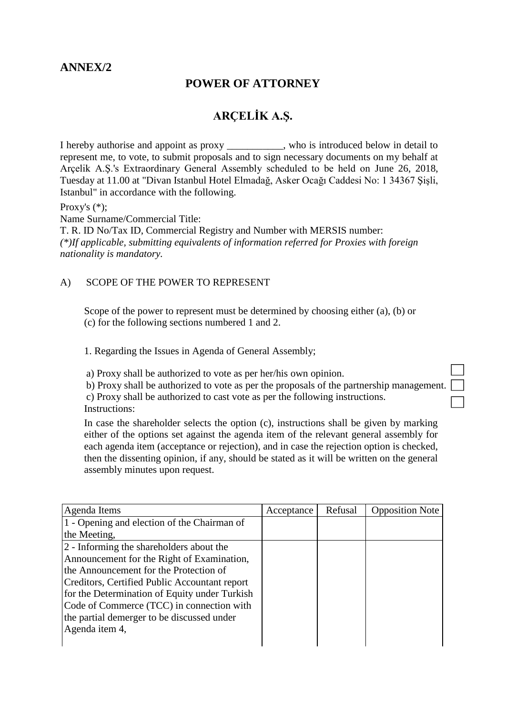# **ANNEX/2**

# **POWER OF ATTORNEY**

# **ARÇELİK A.Ş.**

I hereby authorise and appoint as proxy \_\_\_\_\_\_\_\_\_\_\_, who is introduced below in detail to represent me, to vote, to submit proposals and to sign necessary documents on my behalf at Arçelik A.Ş.'s Extraordinary General Assembly scheduled to be held on June 26, 2018, Tuesday at 11.00 at "Divan Istanbul Hotel Elmadağ, Asker Ocağı Caddesi No: 1 34367 Şişli, Istanbul" in accordance with the following.

Proxy's (\*);

Name Surname/Commercial Title:

T. R. ID No/Tax ID, Commercial Registry and Number with MERSIS number: *(\*)If applicable, submitting equivalents of information referred for Proxies with foreign nationality is mandatory.*

### A) SCOPE OF THE POWER TO REPRESENT

Scope of the power to represent must be determined by choosing either (a), (b) or (c) for the following sections numbered 1 and 2.

1. Regarding the Issues in Agenda of General Assembly;

a) Proxy shall be authorized to vote as per her/his own opinion.

b) Proxy shall be authorized to vote as per the proposals of the partnership management.

c) Proxy shall be authorized to cast vote as per the following instructions. Instructions:

In case the shareholder selects the option (c), instructions shall be given by marking either of the options set against the agenda item of the relevant general assembly for each agenda item (acceptance or rejection), and in case the rejection option is checked, then the dissenting opinion, if any, should be stated as it will be written on the general assembly minutes upon request.

| Agenda Items                                  | Acceptance | Refusal | <b>Opposition Note</b> |
|-----------------------------------------------|------------|---------|------------------------|
| 1 - Opening and election of the Chairman of   |            |         |                        |
| the Meeting,                                  |            |         |                        |
| 2 - Informing the shareholders about the      |            |         |                        |
| Announcement for the Right of Examination,    |            |         |                        |
| the Announcement for the Protection of        |            |         |                        |
| Creditors, Certified Public Accountant report |            |         |                        |
| for the Determination of Equity under Turkish |            |         |                        |
| Code of Commerce (TCC) in connection with     |            |         |                        |
| the partial demerger to be discussed under    |            |         |                        |
| Agenda item 4,                                |            |         |                        |
|                                               |            |         |                        |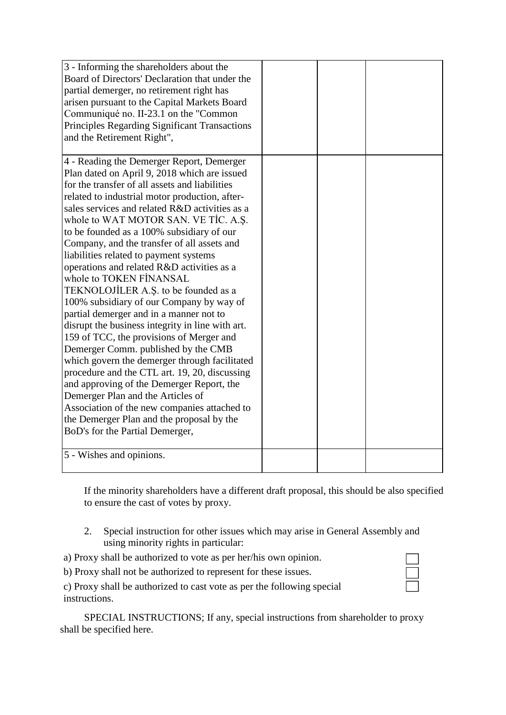| 3 - Informing the shareholders about the             |  |  |
|------------------------------------------------------|--|--|
| Board of Directors' Declaration that under the       |  |  |
| partial demerger, no retirement right has            |  |  |
| arisen pursuant to the Capital Markets Board         |  |  |
| Communiqué no. II-23.1 on the "Common                |  |  |
| <b>Principles Regarding Significant Transactions</b> |  |  |
| and the Retirement Right",                           |  |  |
|                                                      |  |  |
| 4 - Reading the Demerger Report, Demerger            |  |  |
| Plan dated on April 9, 2018 which are issued         |  |  |
| for the transfer of all assets and liabilities       |  |  |
| related to industrial motor production, after-       |  |  |
| sales services and related R&D activities as a       |  |  |
| whole to WAT MOTOR SAN. VE TIC. A.S.                 |  |  |
| to be founded as a 100% subsidiary of our            |  |  |
| Company, and the transfer of all assets and          |  |  |
| liabilities related to payment systems               |  |  |
| operations and related R&D activities as a           |  |  |
| whole to TOKEN FINANSAL                              |  |  |
| TEKNOLOJİLER A.Ş. to be founded as a                 |  |  |
| 100% subsidiary of our Company by way of             |  |  |
| partial demerger and in a manner not to              |  |  |
| disrupt the business integrity in line with art.     |  |  |
| 159 of TCC, the provisions of Merger and             |  |  |
| Demerger Comm. published by the CMB                  |  |  |
| which govern the demerger through facilitated        |  |  |
| procedure and the CTL art. 19, 20, discussing        |  |  |
| and approving of the Demerger Report, the            |  |  |
| Demerger Plan and the Articles of                    |  |  |
| Association of the new companies attached to         |  |  |
| the Demerger Plan and the proposal by the            |  |  |
| BoD's for the Partial Demerger,                      |  |  |
|                                                      |  |  |
| 5 - Wishes and opinions.                             |  |  |
|                                                      |  |  |

If the minority shareholders have a different draft proposal, this should be also specified to ensure the cast of votes by proxy.

- 2. Special instruction for other issues which may arise in General Assembly and using minority rights in particular:
- a) Proxy shall be authorized to vote as per her/his own opinion.
- b) Proxy shall not be authorized to represent for these issues.
- c) Proxy shall be authorized to cast vote as per the following special instructions.

SPECIAL INSTRUCTIONS; If any, special instructions from shareholder to proxy shall be specified here.